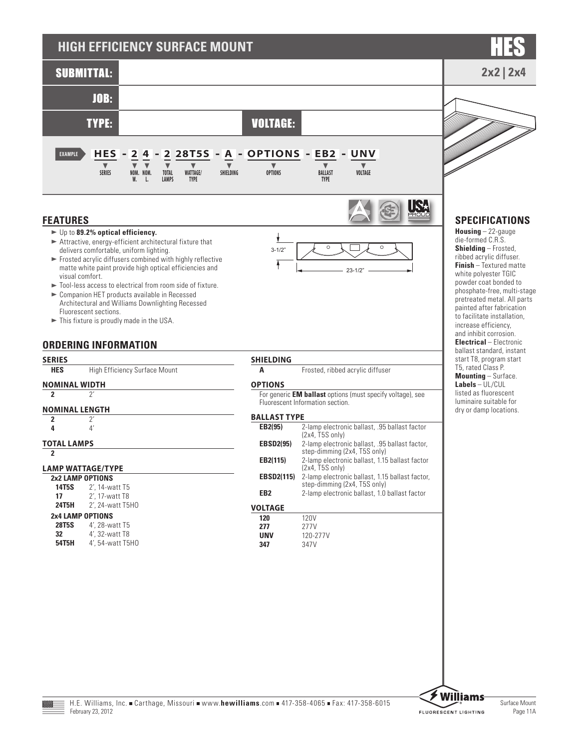

## **ORDERING INFORMATION**

**SERIES HES** High Efficiency Surface Mount

# **NOMINAL WIDTH**

## **2** 2'

- 
- **NOMINAL LENGTH 2** 2'
	- **4** 4'
- **TOTAL LAMPS**

## **2**

## **LAMP WATTAGE/TYPE**

| 2x2 LAMP OPTIONS        |                  |  |  |  |  |
|-------------------------|------------------|--|--|--|--|
| 14T5S                   | 2', 14-watt T5   |  |  |  |  |
| 17                      | 2', 17-watt T8   |  |  |  |  |
| <b>24T5H</b>            | 2', 24-watt T5H0 |  |  |  |  |
| <b>2x4 LAMP OPTIONS</b> |                  |  |  |  |  |
| 28T5S                   | 4', 28-watt T5   |  |  |  |  |
| 32                      | 4', 32-watt T8   |  |  |  |  |
| 54T5H                   | 4', 54-watt T5H0 |  |  |  |  |

## **SHIELDING**

**A** Frosted, ribbed acrylic diffuser

## **OPTIONS**

For generic **EM ballast** options (must specify voltage), see Fluorescent Information section.

### **BALLAST TYPE**

| EB2(95)           | 2-lamp electronic ballast, .95 ballast factor<br>$(2x4, T5S$ only)              |
|-------------------|---------------------------------------------------------------------------------|
| <b>EBSD2(95)</b>  | 2-lamp electronic ballast, .95 ballast factor,<br>step-dimming (2x4, T5S only)  |
| EB2(115)          | 2-lamp electronic ballast, 1.15 ballast factor<br>$(2x4, T5S$ only)             |
| <b>EBSD2(115)</b> | 2-lamp electronic ballast, 1.15 ballast factor,<br>step-dimming (2x4, T5S only) |
| EB <sub>2</sub>   | 2-lamp electronic ballast, 1.0 ballast factor                                   |
| <b>VOLTAGE</b>    |                                                                                 |
| 120               | 120V                                                                            |
| 277               | 277V                                                                            |
| UNV               | 120-277V                                                                        |
| 347               | 347V                                                                            |



ballast standard, instant start T8, program start T5, rated Class P. **Mounting** – Surface. **Labels** – UL/CUL listed as fluorescent luminaire suitable for dry or damp locations.

H.E. Williams, Inc. Carthage, Missouri www.hewilliams.com = 417-358-4065 Fax: 417-358-6015  $F$ ергиагу 23, 2012 Раде 11А в 11А в 11А в 12А в 12А в 12А в 12А в 12А в 12А в 12А в 12А в 12А в 12А в 12А в 12А в 12А в 12А в 12А в 12А в 12А в 12А в 12А в 12А в 12А в 12А в 12А в 12А в 12А в 12А в 12А в 12А в 12А в 12А